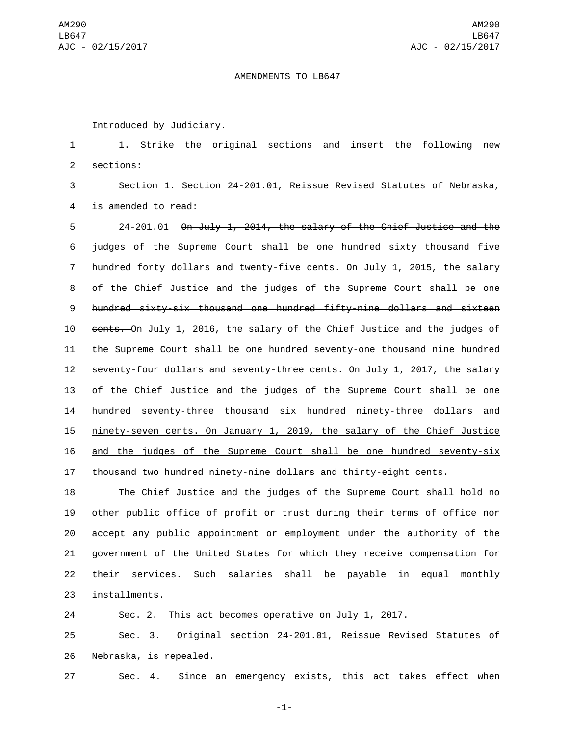## AMENDMENTS TO LB647

Introduced by Judiciary.

 1. Strike the original sections and insert the following new 2 sections:

 Section 1. Section 24-201.01, Reissue Revised Statutes of Nebraska, 4 is amended to read:

 24-201.01 On July 1, 2014, the salary of the Chief Justice and the judges of the Supreme Court shall be one hundred sixty thousand five hundred forty dollars and twenty-five cents. On July 1, 2015, the salary of the Chief Justice and the judges of the Supreme Court shall be one hundred sixty-six thousand one hundred fifty-nine dollars and sixteen cents. On July 1, 2016, the salary of the Chief Justice and the judges of the Supreme Court shall be one hundred seventy-one thousand nine hundred seventy-four dollars and seventy-three cents. On July 1, 2017, the salary of the Chief Justice and the judges of the Supreme Court shall be one hundred seventy-three thousand six hundred ninety-three dollars and ninety-seven cents. On January 1, 2019, the salary of the Chief Justice and the judges of the Supreme Court shall be one hundred seventy-six thousand two hundred ninety-nine dollars and thirty-eight cents.

 The Chief Justice and the judges of the Supreme Court shall hold no other public office of profit or trust during their terms of office nor accept any public appointment or employment under the authority of the government of the United States for which they receive compensation for their services. Such salaries shall be payable in equal monthly 23 installments.

Sec. 2. This act becomes operative on July 1, 2017.

 Sec. 3. Original section 24-201.01, Reissue Revised Statutes of 26 Nebraska, is repealed.

Sec. 4. Since an emergency exists, this act takes effect when

-1-